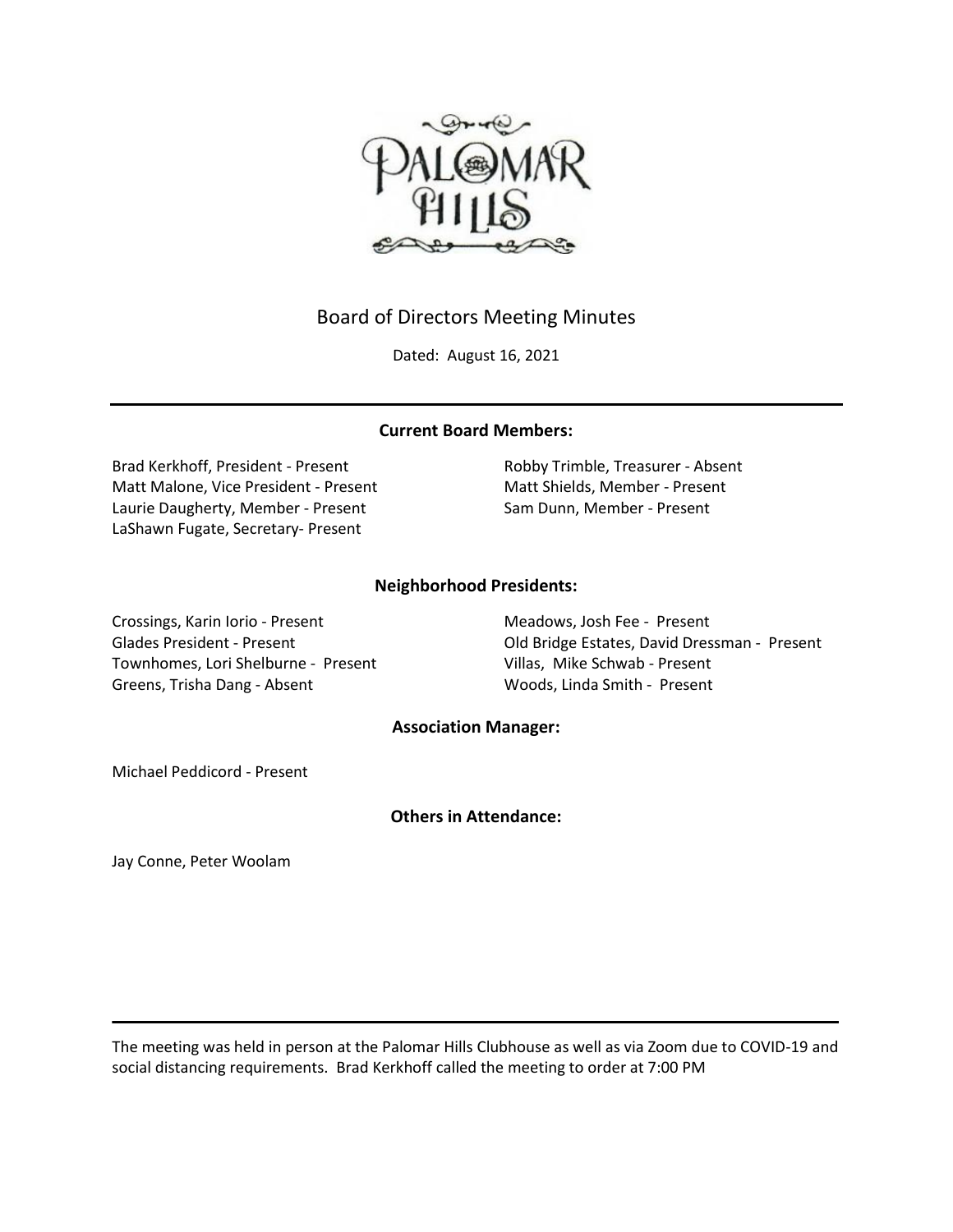

# Board of Directors Meeting Minutes

Dated: August 16, 2021

## **Current Board Members:**

Brad Kerkhoff, President - Present Robby Trimble, Treasurer - Absent Matt Malone, Vice President - Present Matt Shields, Member - Present Laurie Daugherty, Member - Present Sam Dunn, Member - Present LaShawn Fugate, Secretary- Present

## **Neighborhood Presidents:**

Crossings, Karin Iorio - Present Meadows, Josh Fee - Present Townhomes, Lori Shelburne - Present Villas, Mike Schwab - Present Greens, Trisha Dang - Absent Woods, Linda Smith - Present

Glades President - Present **Constant Constant Constant Constant Constant Constant Constant Constant Constant Co** 

## **Association Manager:**

Michael Peddicord - Present

## **Others in Attendance:**

Jay Conne, Peter Woolam

The meeting was held in person at the Palomar Hills Clubhouse as well as via Zoom due to COVID-19 and social distancing requirements. Brad Kerkhoff called the meeting to order at 7:00 PM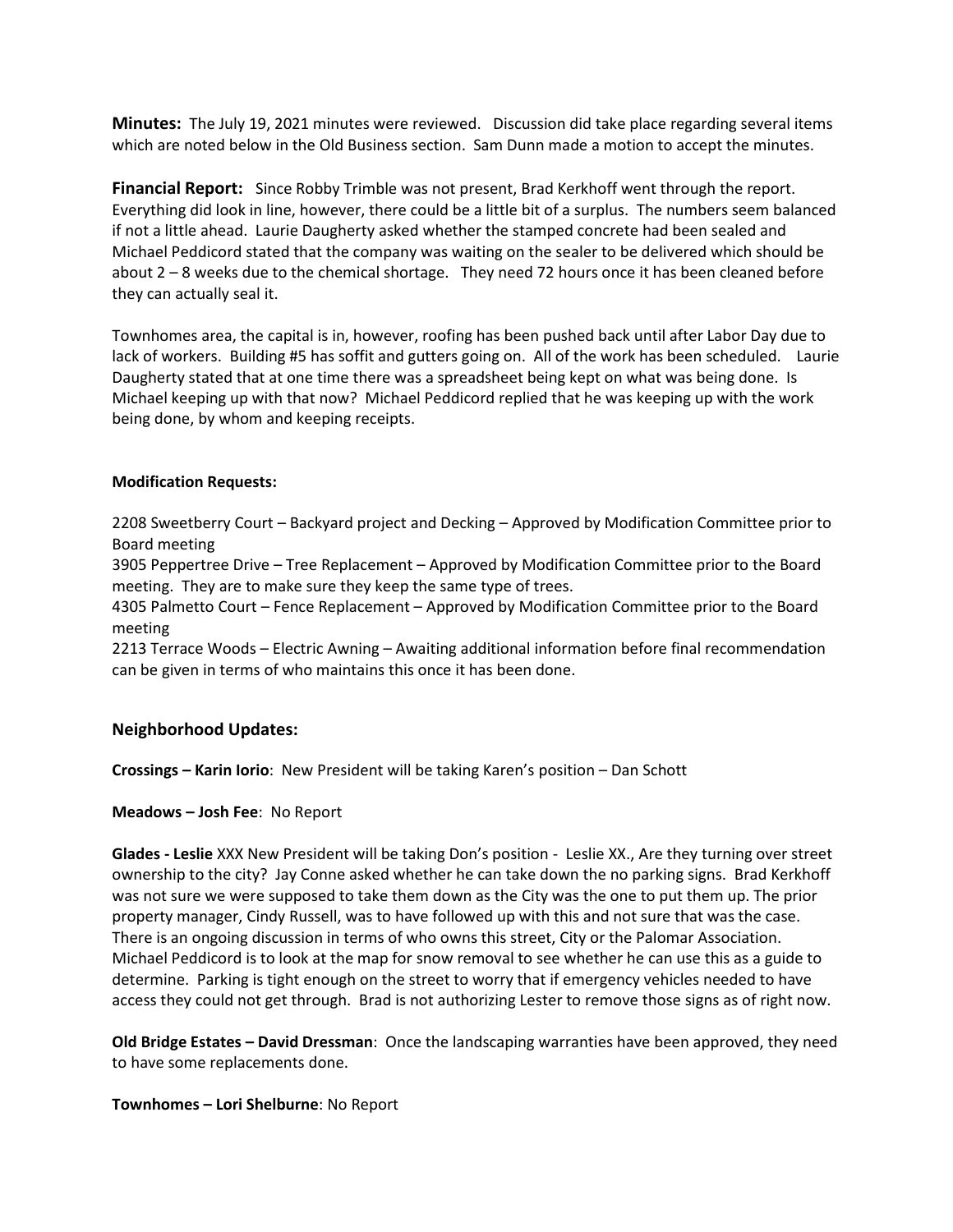**Minutes:** The July 19, 2021 minutes were reviewed. Discussion did take place regarding several items which are noted below in the Old Business section. Sam Dunn made a motion to accept the minutes.

**Financial Report:** Since Robby Trimble was not present, Brad Kerkhoff went through the report. Everything did look in line, however, there could be a little bit of a surplus. The numbers seem balanced if not a little ahead. Laurie Daugherty asked whether the stamped concrete had been sealed and Michael Peddicord stated that the company was waiting on the sealer to be delivered which should be about 2 – 8 weeks due to the chemical shortage. They need 72 hours once it has been cleaned before they can actually seal it.

Townhomes area, the capital is in, however, roofing has been pushed back until after Labor Day due to lack of workers. Building #5 has soffit and gutters going on. All of the work has been scheduled. Laurie Daugherty stated that at one time there was a spreadsheet being kept on what was being done. Is Michael keeping up with that now? Michael Peddicord replied that he was keeping up with the work being done, by whom and keeping receipts.

#### **Modification Requests:**

2208 Sweetberry Court – Backyard project and Decking – Approved by Modification Committee prior to Board meeting

3905 Peppertree Drive – Tree Replacement – Approved by Modification Committee prior to the Board meeting. They are to make sure they keep the same type of trees.

4305 Palmetto Court – Fence Replacement – Approved by Modification Committee prior to the Board meeting

2213 Terrace Woods – Electric Awning – Awaiting additional information before final recommendation can be given in terms of who maintains this once it has been done.

## **Neighborhood Updates:**

**Crossings – Karin Iorio**: New President will be taking Karen's position – Dan Schott

#### **Meadows – Josh Fee**: No Report

**Glades - Leslie** XXX New President will be taking Don's position - Leslie XX., Are they turning over street ownership to the city? Jay Conne asked whether he can take down the no parking signs. Brad Kerkhoff was not sure we were supposed to take them down as the City was the one to put them up. The prior property manager, Cindy Russell, was to have followed up with this and not sure that was the case. There is an ongoing discussion in terms of who owns this street, City or the Palomar Association. Michael Peddicord is to look at the map for snow removal to see whether he can use this as a guide to determine. Parking is tight enough on the street to worry that if emergency vehicles needed to have access they could not get through. Brad is not authorizing Lester to remove those signs as of right now.

**Old Bridge Estates – David Dressman**: Once the landscaping warranties have been approved, they need to have some replacements done.

#### **Townhomes – Lori Shelburne**: No Report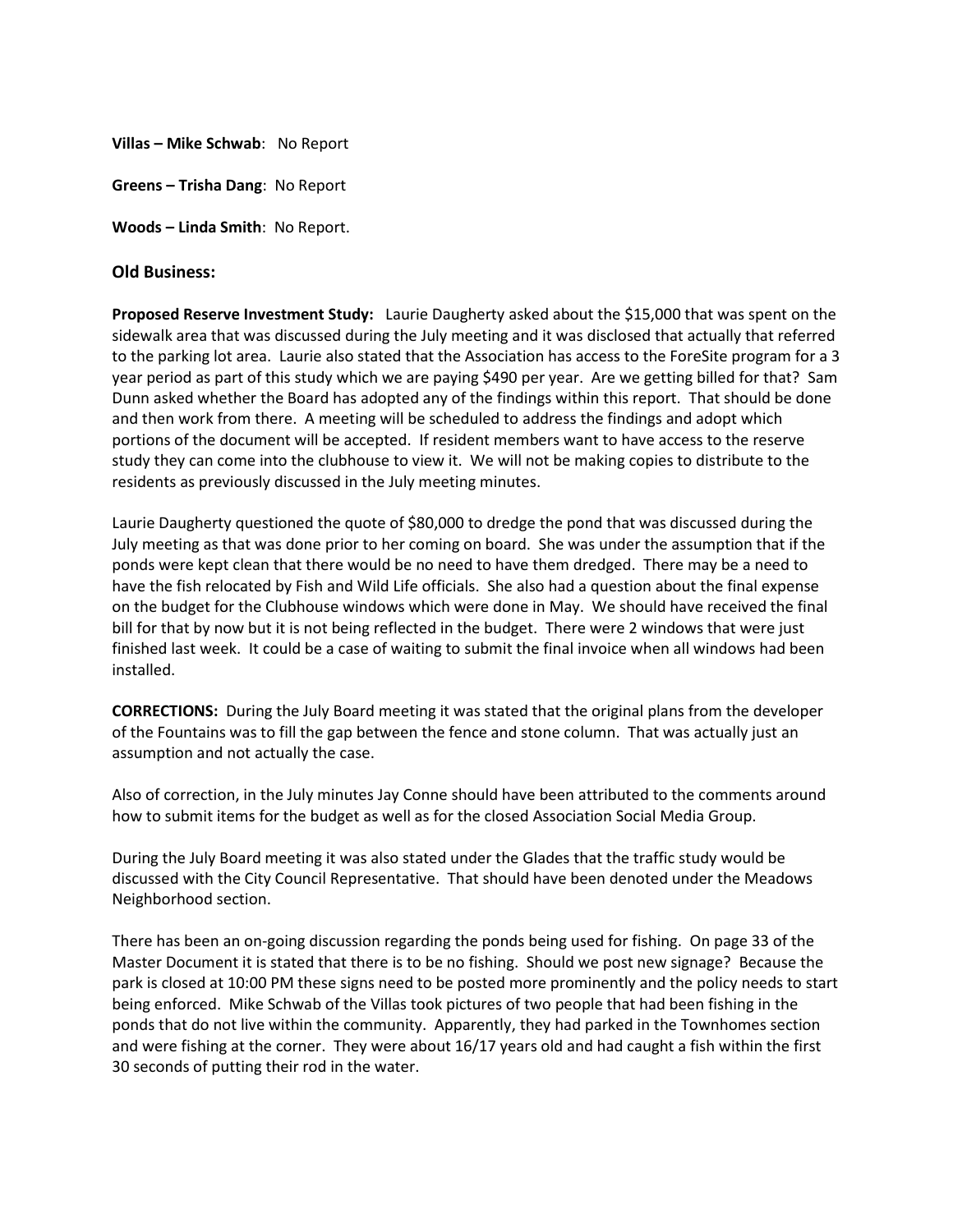**Villas – Mike Schwab**: No Report

**Greens – Trisha Dang**: No Report

**Woods – Linda Smith**: No Report.

#### **Old Business:**

**Proposed Reserve Investment Study:** Laurie Daugherty asked about the \$15,000 that was spent on the sidewalk area that was discussed during the July meeting and it was disclosed that actually that referred to the parking lot area. Laurie also stated that the Association has access to the ForeSite program for a 3 year period as part of this study which we are paying \$490 per year. Are we getting billed for that? Sam Dunn asked whether the Board has adopted any of the findings within this report. That should be done and then work from there. A meeting will be scheduled to address the findings and adopt which portions of the document will be accepted. If resident members want to have access to the reserve study they can come into the clubhouse to view it. We will not be making copies to distribute to the residents as previously discussed in the July meeting minutes.

Laurie Daugherty questioned the quote of \$80,000 to dredge the pond that was discussed during the July meeting as that was done prior to her coming on board. She was under the assumption that if the ponds were kept clean that there would be no need to have them dredged. There may be a need to have the fish relocated by Fish and Wild Life officials. She also had a question about the final expense on the budget for the Clubhouse windows which were done in May. We should have received the final bill for that by now but it is not being reflected in the budget. There were 2 windows that were just finished last week. It could be a case of waiting to submit the final invoice when all windows had been installed.

**CORRECTIONS:** During the July Board meeting it was stated that the original plans from the developer of the Fountains was to fill the gap between the fence and stone column. That was actually just an assumption and not actually the case.

Also of correction, in the July minutes Jay Conne should have been attributed to the comments around how to submit items for the budget as well as for the closed Association Social Media Group.

During the July Board meeting it was also stated under the Glades that the traffic study would be discussed with the City Council Representative. That should have been denoted under the Meadows Neighborhood section.

There has been an on-going discussion regarding the ponds being used for fishing. On page 33 of the Master Document it is stated that there is to be no fishing. Should we post new signage? Because the park is closed at 10:00 PM these signs need to be posted more prominently and the policy needs to start being enforced. Mike Schwab of the Villas took pictures of two people that had been fishing in the ponds that do not live within the community. Apparently, they had parked in the Townhomes section and were fishing at the corner. They were about 16/17 years old and had caught a fish within the first 30 seconds of putting their rod in the water.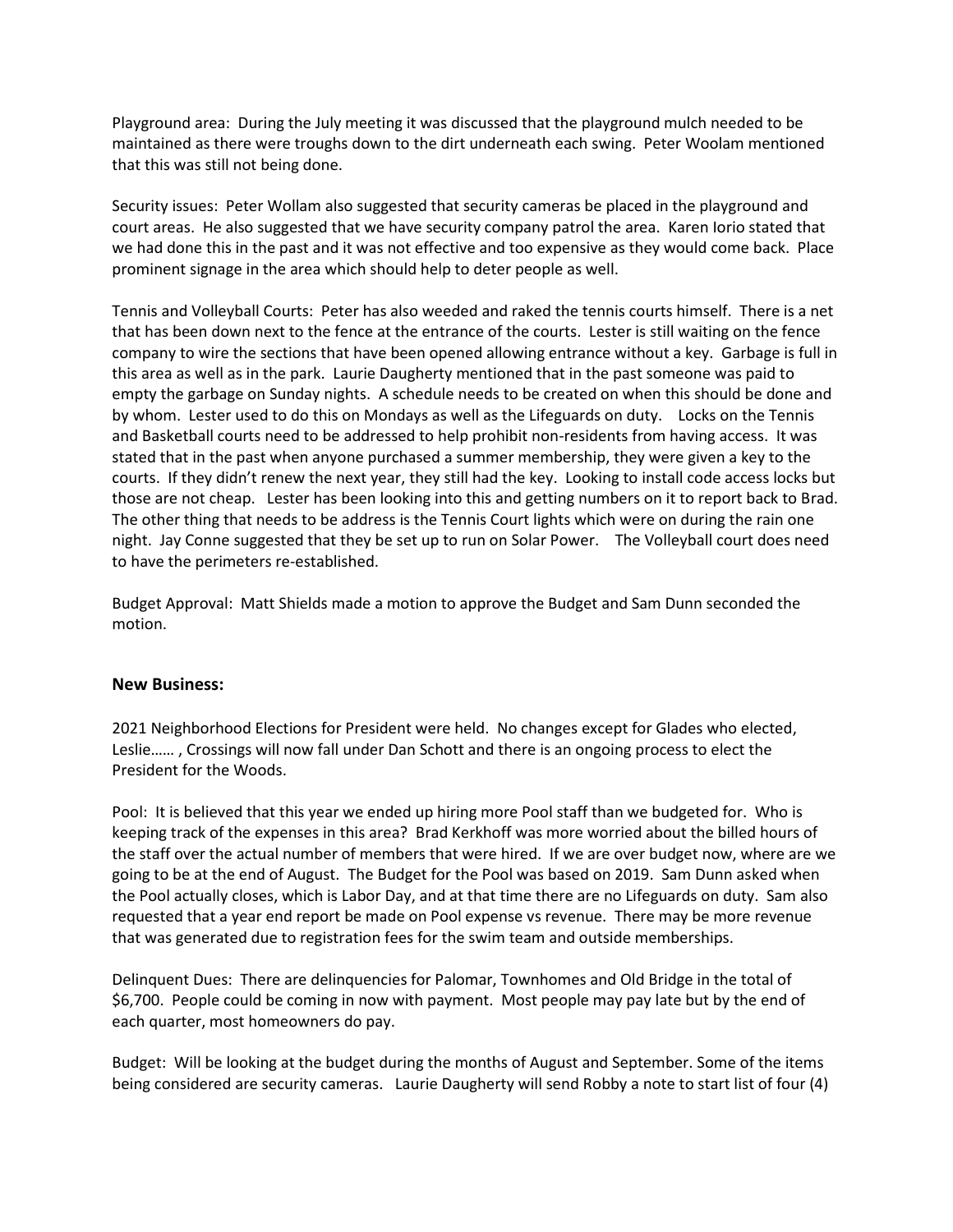Playground area: During the July meeting it was discussed that the playground mulch needed to be maintained as there were troughs down to the dirt underneath each swing. Peter Woolam mentioned that this was still not being done.

Security issues: Peter Wollam also suggested that security cameras be placed in the playground and court areas. He also suggested that we have security company patrol the area. Karen Iorio stated that we had done this in the past and it was not effective and too expensive as they would come back. Place prominent signage in the area which should help to deter people as well.

Tennis and Volleyball Courts: Peter has also weeded and raked the tennis courts himself. There is a net that has been down next to the fence at the entrance of the courts. Lester is still waiting on the fence company to wire the sections that have been opened allowing entrance without a key. Garbage is full in this area as well as in the park. Laurie Daugherty mentioned that in the past someone was paid to empty the garbage on Sunday nights. A schedule needs to be created on when this should be done and by whom. Lester used to do this on Mondays as well as the Lifeguards on duty. Locks on the Tennis and Basketball courts need to be addressed to help prohibit non-residents from having access. It was stated that in the past when anyone purchased a summer membership, they were given a key to the courts. If they didn't renew the next year, they still had the key. Looking to install code access locks but those are not cheap. Lester has been looking into this and getting numbers on it to report back to Brad. The other thing that needs to be address is the Tennis Court lights which were on during the rain one night. Jay Conne suggested that they be set up to run on Solar Power. The Volleyball court does need to have the perimeters re-established.

Budget Approval: Matt Shields made a motion to approve the Budget and Sam Dunn seconded the motion.

## **New Business:**

2021 Neighborhood Elections for President were held. No changes except for Glades who elected, Leslie…… , Crossings will now fall under Dan Schott and there is an ongoing process to elect the President for the Woods.

Pool: It is believed that this year we ended up hiring more Pool staff than we budgeted for. Who is keeping track of the expenses in this area? Brad Kerkhoff was more worried about the billed hours of the staff over the actual number of members that were hired. If we are over budget now, where are we going to be at the end of August. The Budget for the Pool was based on 2019. Sam Dunn asked when the Pool actually closes, which is Labor Day, and at that time there are no Lifeguards on duty. Sam also requested that a year end report be made on Pool expense vs revenue. There may be more revenue that was generated due to registration fees for the swim team and outside memberships.

Delinquent Dues: There are delinquencies for Palomar, Townhomes and Old Bridge in the total of \$6,700. People could be coming in now with payment. Most people may pay late but by the end of each quarter, most homeowners do pay.

Budget: Will be looking at the budget during the months of August and September. Some of the items being considered are security cameras. Laurie Daugherty will send Robby a note to start list of four (4)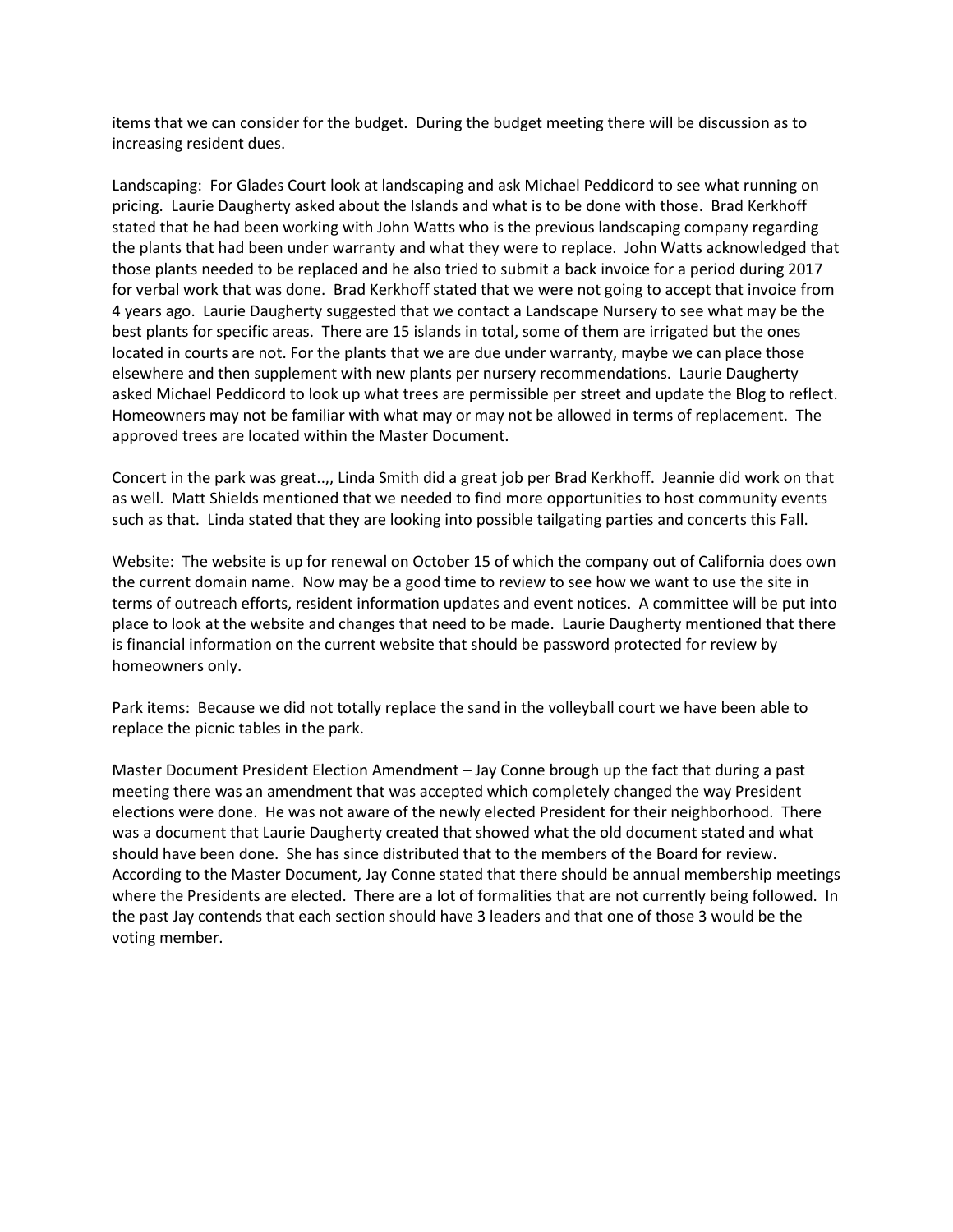items that we can consider for the budget. During the budget meeting there will be discussion as to increasing resident dues.

Landscaping: For Glades Court look at landscaping and ask Michael Peddicord to see what running on pricing. Laurie Daugherty asked about the Islands and what is to be done with those. Brad Kerkhoff stated that he had been working with John Watts who is the previous landscaping company regarding the plants that had been under warranty and what they were to replace. John Watts acknowledged that those plants needed to be replaced and he also tried to submit a back invoice for a period during 2017 for verbal work that was done. Brad Kerkhoff stated that we were not going to accept that invoice from 4 years ago. Laurie Daugherty suggested that we contact a Landscape Nursery to see what may be the best plants for specific areas. There are 15 islands in total, some of them are irrigated but the ones located in courts are not. For the plants that we are due under warranty, maybe we can place those elsewhere and then supplement with new plants per nursery recommendations. Laurie Daugherty asked Michael Peddicord to look up what trees are permissible per street and update the Blog to reflect. Homeowners may not be familiar with what may or may not be allowed in terms of replacement. The approved trees are located within the Master Document.

Concert in the park was great..,, Linda Smith did a great job per Brad Kerkhoff. Jeannie did work on that as well. Matt Shields mentioned that we needed to find more opportunities to host community events such as that. Linda stated that they are looking into possible tailgating parties and concerts this Fall.

Website: The website is up for renewal on October 15 of which the company out of California does own the current domain name. Now may be a good time to review to see how we want to use the site in terms of outreach efforts, resident information updates and event notices. A committee will be put into place to look at the website and changes that need to be made. Laurie Daugherty mentioned that there is financial information on the current website that should be password protected for review by homeowners only.

Park items: Because we did not totally replace the sand in the volleyball court we have been able to replace the picnic tables in the park.

Master Document President Election Amendment – Jay Conne brough up the fact that during a past meeting there was an amendment that was accepted which completely changed the way President elections were done. He was not aware of the newly elected President for their neighborhood. There was a document that Laurie Daugherty created that showed what the old document stated and what should have been done. She has since distributed that to the members of the Board for review. According to the Master Document, Jay Conne stated that there should be annual membership meetings where the Presidents are elected. There are a lot of formalities that are not currently being followed. In the past Jay contends that each section should have 3 leaders and that one of those 3 would be the voting member.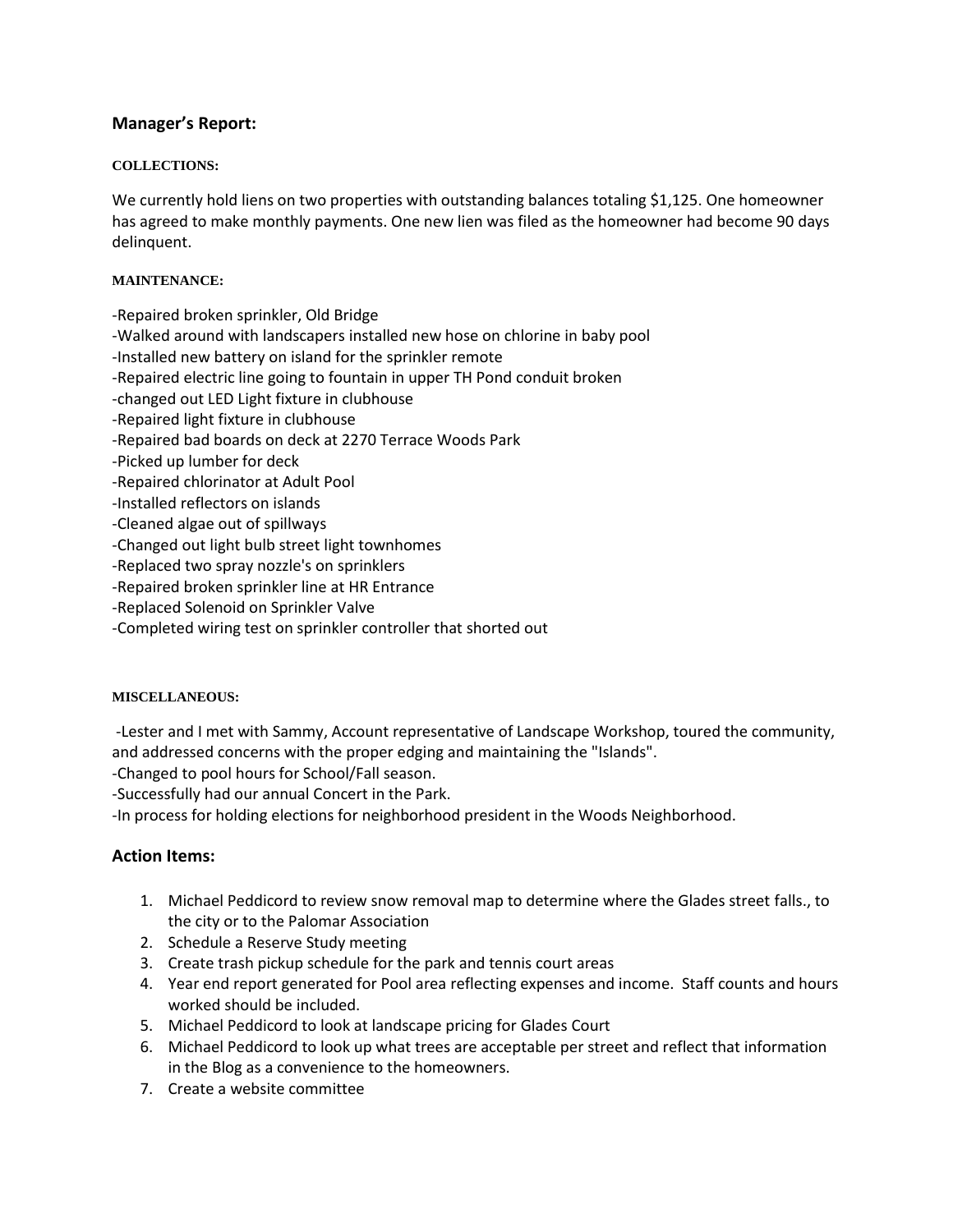# **Manager's Report:**

#### **COLLECTIONS:**

We currently hold liens on two properties with outstanding balances totaling \$1,125. One homeowner has agreed to make monthly payments. One new lien was filed as the homeowner had become 90 days delinquent.

#### **MAINTENANCE:**

-Repaired broken sprinkler, Old Bridge

- -Walked around with landscapers installed new hose on chlorine in baby pool
- -Installed new battery on island for the sprinkler remote
- -Repaired electric line going to fountain in upper TH Pond conduit broken
- -changed out LED Light fixture in clubhouse
- -Repaired light fixture in clubhouse
- -Repaired bad boards on deck at 2270 Terrace Woods Park
- -Picked up lumber for deck
- -Repaired chlorinator at Adult Pool
- -Installed reflectors on islands
- -Cleaned algae out of spillways
- -Changed out light bulb street light townhomes
- -Replaced two spray nozzle's on sprinklers
- -Repaired broken sprinkler line at HR Entrance
- -Replaced Solenoid on Sprinkler Valve
- -Completed wiring test on sprinkler controller that shorted out

#### **MISCELLANEOUS:**

-Lester and I met with Sammy, Account representative of Landscape Workshop, toured the community, and addressed concerns with the proper edging and maintaining the "Islands".

-Changed to pool hours for School/Fall season.

-Successfully had our annual Concert in the Park.

-In process for holding elections for neighborhood president in the Woods Neighborhood.

## **Action Items:**

- 1. Michael Peddicord to review snow removal map to determine where the Glades street falls., to the city or to the Palomar Association
- 2. Schedule a Reserve Study meeting
- 3. Create trash pickup schedule for the park and tennis court areas
- 4. Year end report generated for Pool area reflecting expenses and income. Staff counts and hours worked should be included.
- 5. Michael Peddicord to look at landscape pricing for Glades Court
- 6. Michael Peddicord to look up what trees are acceptable per street and reflect that information in the Blog as a convenience to the homeowners.
- 7. Create a website committee